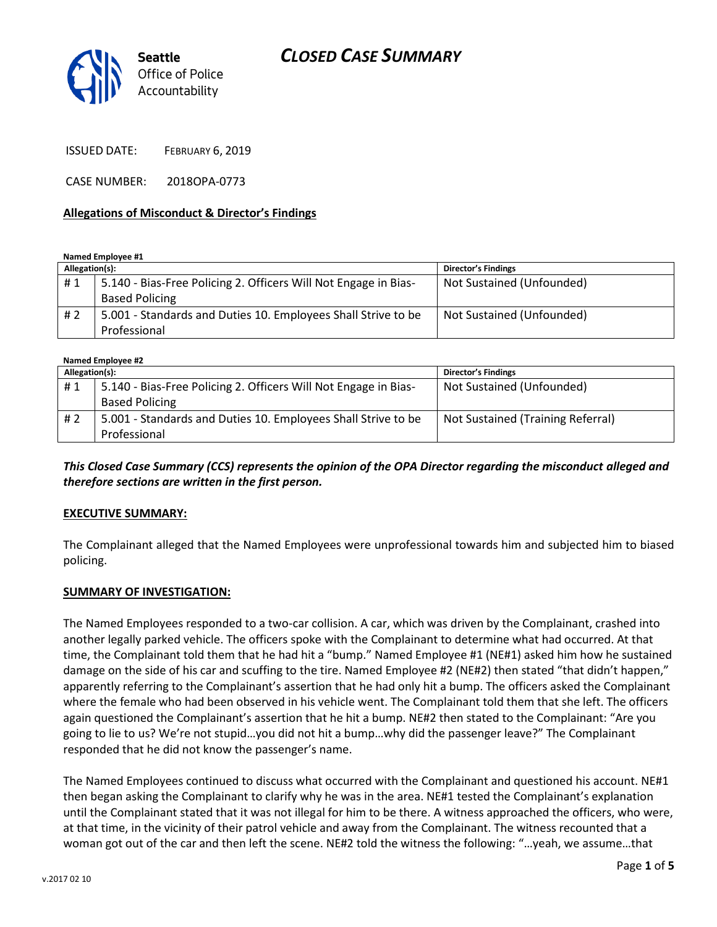### *CLOSED CASE SUMMARY*



ISSUED DATE: FEBRUARY 6, 2019

CASE NUMBER: 2018OPA-0773

#### **Allegations of Misconduct & Director's Findings**

**Named Employee #1**

| Allegation(s): |                                                                 | <b>Director's Findings</b> |
|----------------|-----------------------------------------------------------------|----------------------------|
| #1             | 5.140 - Bias-Free Policing 2. Officers Will Not Engage in Bias- | Not Sustained (Unfounded)  |
|                | <b>Based Policing</b>                                           |                            |
| #2             | 5.001 - Standards and Duties 10. Employees Shall Strive to be   | Not Sustained (Unfounded)  |
|                | Professional                                                    |                            |

**Named Employee #2**

| $r = 11.00$    |                                                                 |                                   |  |
|----------------|-----------------------------------------------------------------|-----------------------------------|--|
| Allegation(s): |                                                                 | <b>Director's Findings</b>        |  |
| #1             | 5.140 - Bias-Free Policing 2. Officers Will Not Engage in Bias- | Not Sustained (Unfounded)         |  |
|                | <b>Based Policing</b>                                           |                                   |  |
| #2             | 5.001 - Standards and Duties 10. Employees Shall Strive to be   | Not Sustained (Training Referral) |  |
|                | Professional                                                    |                                   |  |

*This Closed Case Summary (CCS) represents the opinion of the OPA Director regarding the misconduct alleged and therefore sections are written in the first person.* 

#### **EXECUTIVE SUMMARY:**

The Complainant alleged that the Named Employees were unprofessional towards him and subjected him to biased policing.

#### **SUMMARY OF INVESTIGATION:**

The Named Employees responded to a two-car collision. A car, which was driven by the Complainant, crashed into another legally parked vehicle. The officers spoke with the Complainant to determine what had occurred. At that time, the Complainant told them that he had hit a "bump." Named Employee #1 (NE#1) asked him how he sustained damage on the side of his car and scuffing to the tire. Named Employee #2 (NE#2) then stated "that didn't happen," apparently referring to the Complainant's assertion that he had only hit a bump. The officers asked the Complainant where the female who had been observed in his vehicle went. The Complainant told them that she left. The officers again questioned the Complainant's assertion that he hit a bump. NE#2 then stated to the Complainant: "Are you going to lie to us? We're not stupid…you did not hit a bump…why did the passenger leave?" The Complainant responded that he did not know the passenger's name.

The Named Employees continued to discuss what occurred with the Complainant and questioned his account. NE#1 then began asking the Complainant to clarify why he was in the area. NE#1 tested the Complainant's explanation until the Complainant stated that it was not illegal for him to be there. A witness approached the officers, who were, at that time, in the vicinity of their patrol vehicle and away from the Complainant. The witness recounted that a woman got out of the car and then left the scene. NE#2 told the witness the following: "…yeah, we assume…that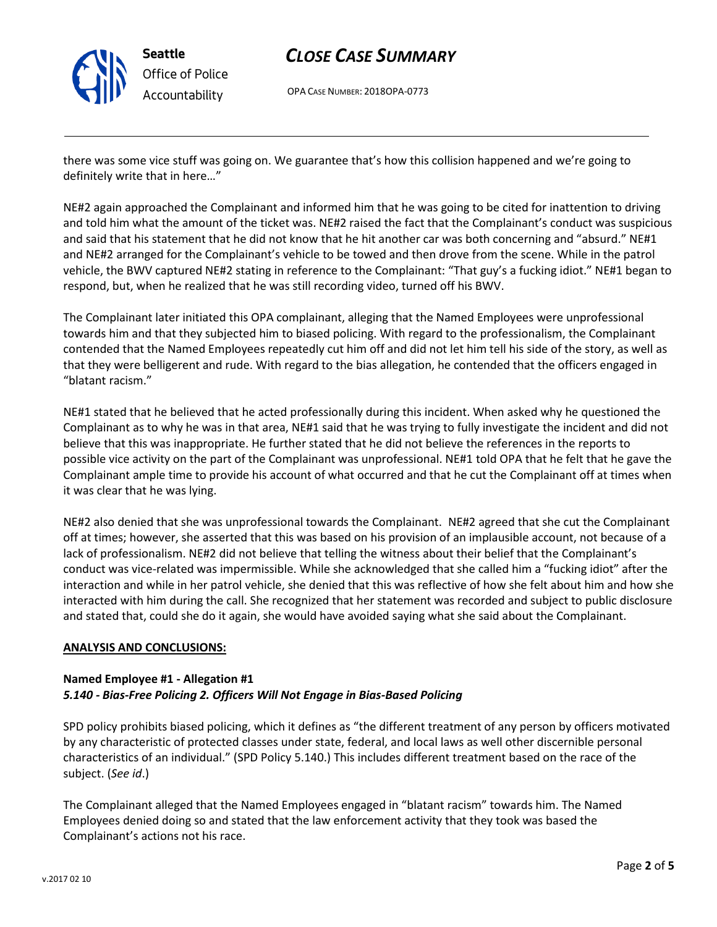

## *CLOSE CASE SUMMARY*

OPA CASE NUMBER: 2018OPA-0773

there was some vice stuff was going on. We guarantee that's how this collision happened and we're going to definitely write that in here…"

NE#2 again approached the Complainant and informed him that he was going to be cited for inattention to driving and told him what the amount of the ticket was. NE#2 raised the fact that the Complainant's conduct was suspicious and said that his statement that he did not know that he hit another car was both concerning and "absurd." NE#1 and NE#2 arranged for the Complainant's vehicle to be towed and then drove from the scene. While in the patrol vehicle, the BWV captured NE#2 stating in reference to the Complainant: "That guy's a fucking idiot." NE#1 began to respond, but, when he realized that he was still recording video, turned off his BWV.

The Complainant later initiated this OPA complainant, alleging that the Named Employees were unprofessional towards him and that they subjected him to biased policing. With regard to the professionalism, the Complainant contended that the Named Employees repeatedly cut him off and did not let him tell his side of the story, as well as that they were belligerent and rude. With regard to the bias allegation, he contended that the officers engaged in "blatant racism."

NE#1 stated that he believed that he acted professionally during this incident. When asked why he questioned the Complainant as to why he was in that area, NE#1 said that he was trying to fully investigate the incident and did not believe that this was inappropriate. He further stated that he did not believe the references in the reports to possible vice activity on the part of the Complainant was unprofessional. NE#1 told OPA that he felt that he gave the Complainant ample time to provide his account of what occurred and that he cut the Complainant off at times when it was clear that he was lying.

NE#2 also denied that she was unprofessional towards the Complainant. NE#2 agreed that she cut the Complainant off at times; however, she asserted that this was based on his provision of an implausible account, not because of a lack of professionalism. NE#2 did not believe that telling the witness about their belief that the Complainant's conduct was vice-related was impermissible. While she acknowledged that she called him a "fucking idiot" after the interaction and while in her patrol vehicle, she denied that this was reflective of how she felt about him and how she interacted with him during the call. She recognized that her statement was recorded and subject to public disclosure and stated that, could she do it again, she would have avoided saying what she said about the Complainant.

### **ANALYSIS AND CONCLUSIONS:**

### **Named Employee #1 - Allegation #1** *5.140 - Bias-Free Policing 2. Officers Will Not Engage in Bias-Based Policing*

SPD policy prohibits biased policing, which it defines as "the different treatment of any person by officers motivated by any characteristic of protected classes under state, federal, and local laws as well other discernible personal characteristics of an individual." (SPD Policy 5.140.) This includes different treatment based on the race of the subject. (*See id*.)

The Complainant alleged that the Named Employees engaged in "blatant racism" towards him. The Named Employees denied doing so and stated that the law enforcement activity that they took was based the Complainant's actions not his race.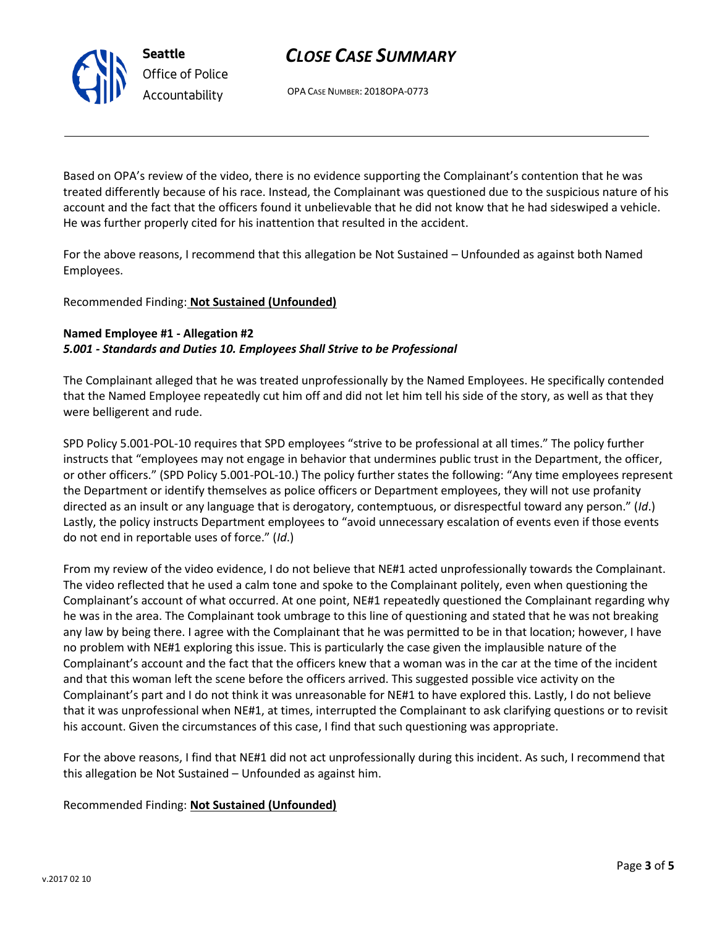# *CLOSE CASE SUMMARY*

OPA CASE NUMBER: 2018OPA-0773

Based on OPA's review of the video, there is no evidence supporting the Complainant's contention that he was treated differently because of his race. Instead, the Complainant was questioned due to the suspicious nature of his account and the fact that the officers found it unbelievable that he did not know that he had sideswiped a vehicle. He was further properly cited for his inattention that resulted in the accident.

For the above reasons, I recommend that this allegation be Not Sustained – Unfounded as against both Named Employees.

### Recommended Finding: **Not Sustained (Unfounded)**

### **Named Employee #1 - Allegation #2** *5.001 - Standards and Duties 10. Employees Shall Strive to be Professional*

The Complainant alleged that he was treated unprofessionally by the Named Employees. He specifically contended that the Named Employee repeatedly cut him off and did not let him tell his side of the story, as well as that they were belligerent and rude.

SPD Policy 5.001-POL-10 requires that SPD employees "strive to be professional at all times." The policy further instructs that "employees may not engage in behavior that undermines public trust in the Department, the officer, or other officers." (SPD Policy 5.001-POL-10.) The policy further states the following: "Any time employees represent the Department or identify themselves as police officers or Department employees, they will not use profanity directed as an insult or any language that is derogatory, contemptuous, or disrespectful toward any person." (*Id*.) Lastly, the policy instructs Department employees to "avoid unnecessary escalation of events even if those events do not end in reportable uses of force." (*Id*.)

From my review of the video evidence, I do not believe that NE#1 acted unprofessionally towards the Complainant. The video reflected that he used a calm tone and spoke to the Complainant politely, even when questioning the Complainant's account of what occurred. At one point, NE#1 repeatedly questioned the Complainant regarding why he was in the area. The Complainant took umbrage to this line of questioning and stated that he was not breaking any law by being there. I agree with the Complainant that he was permitted to be in that location; however, I have no problem with NE#1 exploring this issue. This is particularly the case given the implausible nature of the Complainant's account and the fact that the officers knew that a woman was in the car at the time of the incident and that this woman left the scene before the officers arrived. This suggested possible vice activity on the Complainant's part and I do not think it was unreasonable for NE#1 to have explored this. Lastly, I do not believe that it was unprofessional when NE#1, at times, interrupted the Complainant to ask clarifying questions or to revisit his account. Given the circumstances of this case, I find that such questioning was appropriate.

For the above reasons, I find that NE#1 did not act unprofessionally during this incident. As such, I recommend that this allegation be Not Sustained – Unfounded as against him.

Recommended Finding: **Not Sustained (Unfounded)**



**Seattle** *Office of Police Accountability*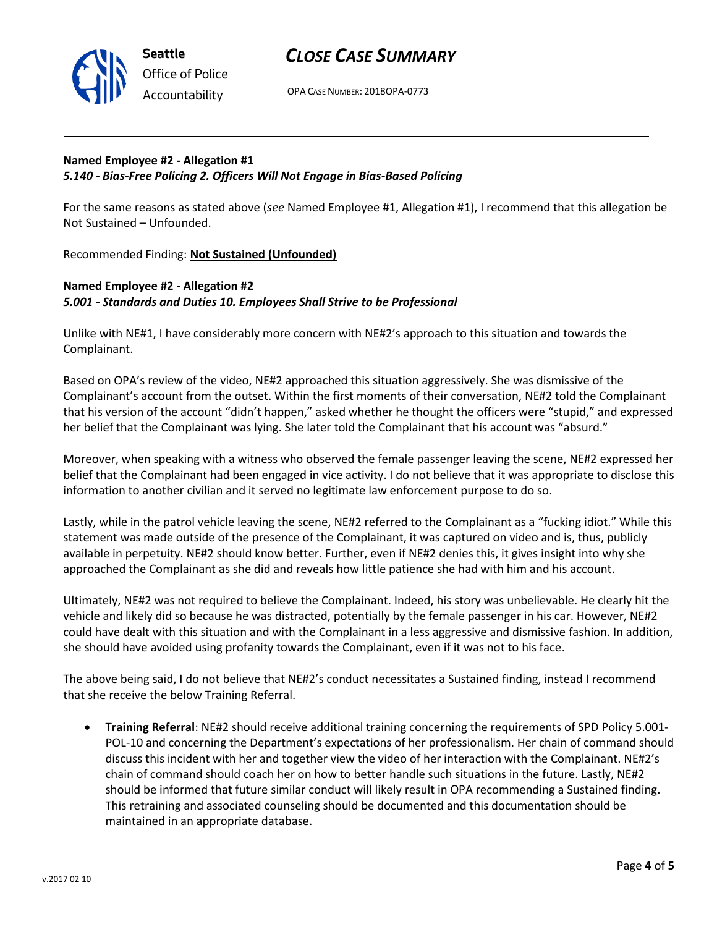

### *CLOSE CASE SUMMARY*

OPA CASE NUMBER: 2018OPA-0773

### **Named Employee #2 - Allegation #1** *5.140 - Bias-Free Policing 2. Officers Will Not Engage in Bias-Based Policing*

For the same reasons as stated above (*see* Named Employee #1, Allegation #1), I recommend that this allegation be Not Sustained – Unfounded.

Recommended Finding: **Not Sustained (Unfounded)**

### **Named Employee #2 - Allegation #2** *5.001 - Standards and Duties 10. Employees Shall Strive to be Professional*

Unlike with NE#1, I have considerably more concern with NE#2's approach to this situation and towards the Complainant.

Based on OPA's review of the video, NE#2 approached this situation aggressively. She was dismissive of the Complainant's account from the outset. Within the first moments of their conversation, NE#2 told the Complainant that his version of the account "didn't happen," asked whether he thought the officers were "stupid," and expressed her belief that the Complainant was lying. She later told the Complainant that his account was "absurd."

Moreover, when speaking with a witness who observed the female passenger leaving the scene, NE#2 expressed her belief that the Complainant had been engaged in vice activity. I do not believe that it was appropriate to disclose this information to another civilian and it served no legitimate law enforcement purpose to do so.

Lastly, while in the patrol vehicle leaving the scene, NE#2 referred to the Complainant as a "fucking idiot." While this statement was made outside of the presence of the Complainant, it was captured on video and is, thus, publicly available in perpetuity. NE#2 should know better. Further, even if NE#2 denies this, it gives insight into why she approached the Complainant as she did and reveals how little patience she had with him and his account.

Ultimately, NE#2 was not required to believe the Complainant. Indeed, his story was unbelievable. He clearly hit the vehicle and likely did so because he was distracted, potentially by the female passenger in his car. However, NE#2 could have dealt with this situation and with the Complainant in a less aggressive and dismissive fashion. In addition, she should have avoided using profanity towards the Complainant, even if it was not to his face.

The above being said, I do not believe that NE#2's conduct necessitates a Sustained finding, instead I recommend that she receive the below Training Referral.

• **Training Referral**: NE#2 should receive additional training concerning the requirements of SPD Policy 5.001- POL-10 and concerning the Department's expectations of her professionalism. Her chain of command should discuss this incident with her and together view the video of her interaction with the Complainant. NE#2's chain of command should coach her on how to better handle such situations in the future. Lastly, NE#2 should be informed that future similar conduct will likely result in OPA recommending a Sustained finding. This retraining and associated counseling should be documented and this documentation should be maintained in an appropriate database.